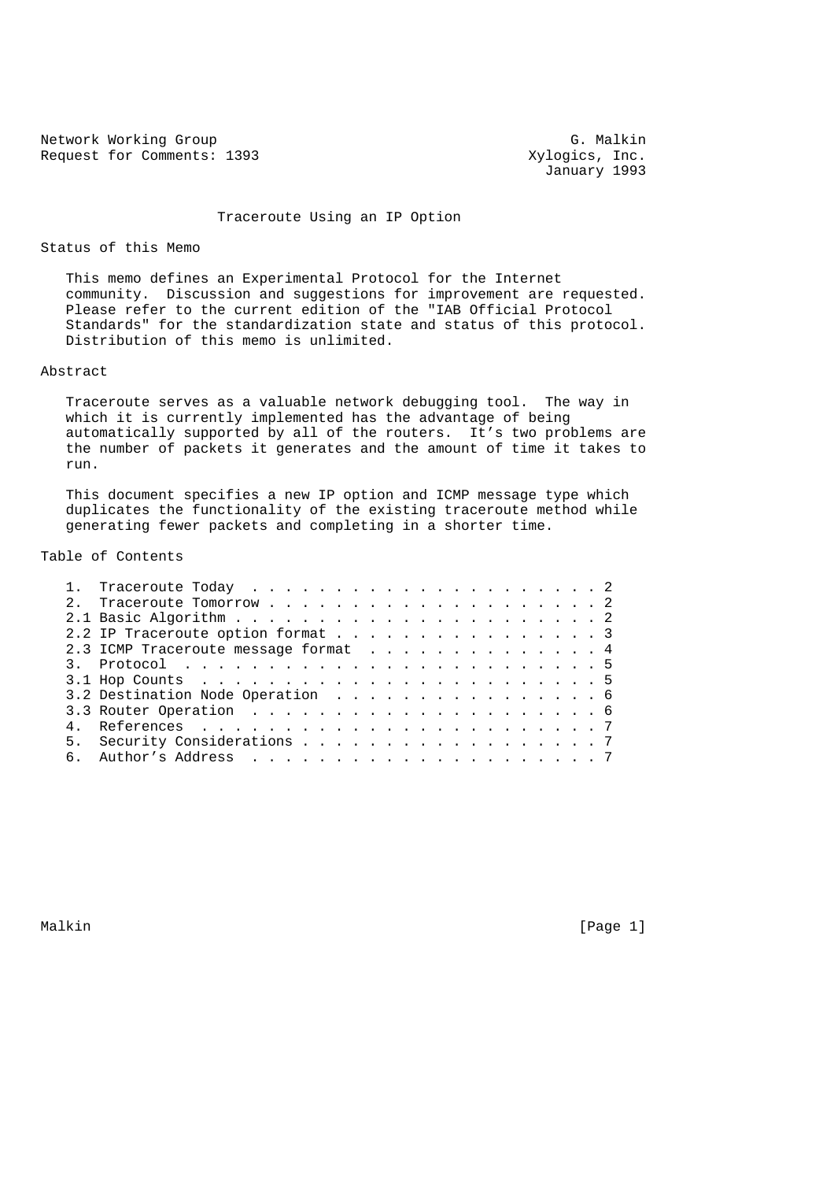Network Working Group G. Malkin<br>Request for Comments: 1393 (G. Malkin Group G. Malkin Group) G. Malkin Request for Comments: 1393

January 1993

## Traceroute Using an IP Option

Status of this Memo

 This memo defines an Experimental Protocol for the Internet community. Discussion and suggestions for improvement are requested. Please refer to the current edition of the "IAB Official Protocol Standards" for the standardization state and status of this protocol. Distribution of this memo is unlimited.

## Abstract

 Traceroute serves as a valuable network debugging tool. The way in which it is currently implemented has the advantage of being automatically supported by all of the routers. It's two problems are the number of packets it generates and the amount of time it takes to run.

 This document specifies a new IP option and ICMP message type which duplicates the functionality of the existing traceroute method while generating fewer packets and completing in a shorter time.

## Table of Contents

|  | 2.2 IP Traceroute option format 3    |  |
|--|--------------------------------------|--|
|  | 2.3 ICMP Traceroute message format 4 |  |
|  |                                      |  |
|  |                                      |  |
|  | 3.2 Destination Node Operation 6     |  |
|  |                                      |  |
|  |                                      |  |
|  | 5. Security Considerations 7         |  |
|  |                                      |  |
|  |                                      |  |

Malkin [Page 1] [Page 1]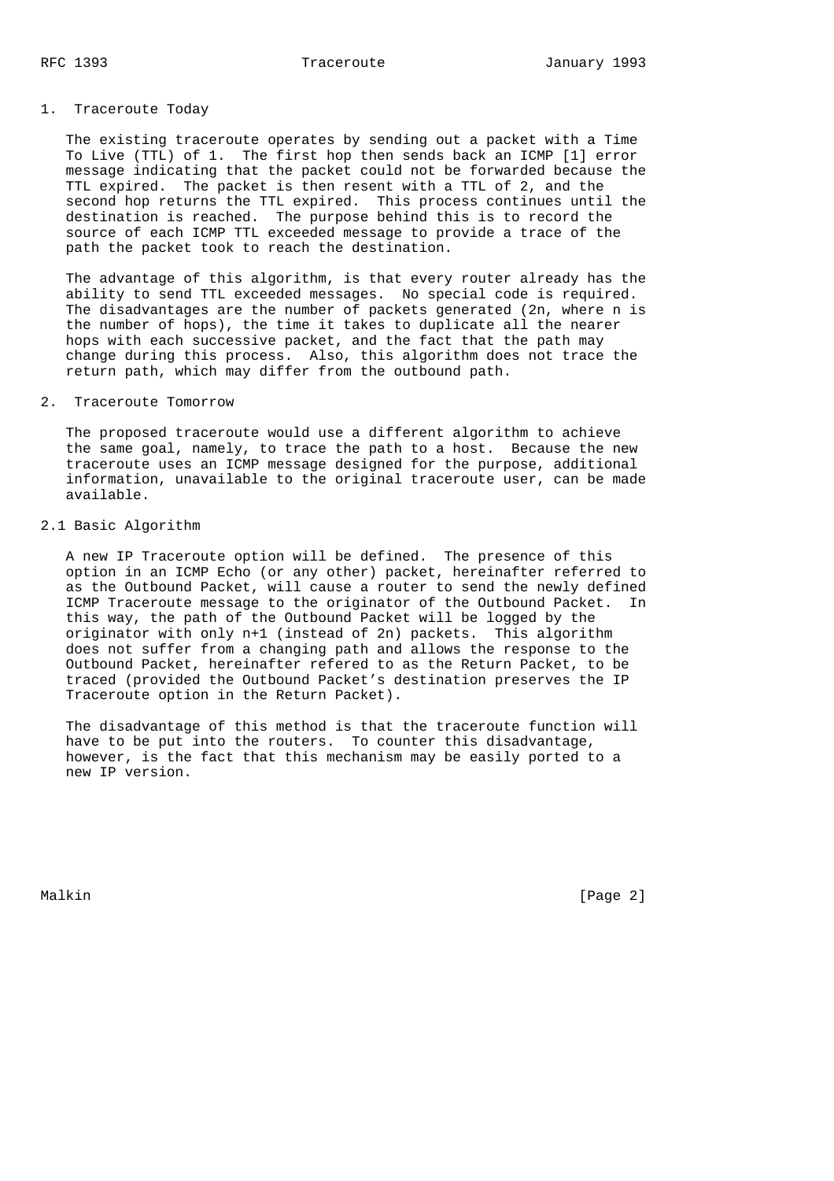### 1. Traceroute Today

 The existing traceroute operates by sending out a packet with a Time To Live (TTL) of 1. The first hop then sends back an ICMP [1] error message indicating that the packet could not be forwarded because the TTL expired. The packet is then resent with a TTL of 2, and the second hop returns the TTL expired. This process continues until the destination is reached. The purpose behind this is to record the source of each ICMP TTL exceeded message to provide a trace of the path the packet took to reach the destination.

 The advantage of this algorithm, is that every router already has the ability to send TTL exceeded messages. No special code is required. The disadvantages are the number of packets generated (2n, where n is the number of hops), the time it takes to duplicate all the nearer hops with each successive packet, and the fact that the path may change during this process. Also, this algorithm does not trace the return path, which may differ from the outbound path.

## 2. Traceroute Tomorrow

 The proposed traceroute would use a different algorithm to achieve the same goal, namely, to trace the path to a host. Because the new traceroute uses an ICMP message designed for the purpose, additional information, unavailable to the original traceroute user, can be made available.

### 2.1 Basic Algorithm

 A new IP Traceroute option will be defined. The presence of this option in an ICMP Echo (or any other) packet, hereinafter referred to as the Outbound Packet, will cause a router to send the newly defined ICMP Traceroute message to the originator of the Outbound Packet. In this way, the path of the Outbound Packet will be logged by the originator with only n+1 (instead of 2n) packets. This algorithm does not suffer from a changing path and allows the response to the Outbound Packet, hereinafter refered to as the Return Packet, to be traced (provided the Outbound Packet's destination preserves the IP Traceroute option in the Return Packet).

 The disadvantage of this method is that the traceroute function will have to be put into the routers. To counter this disadvantage, however, is the fact that this mechanism may be easily ported to a new IP version.

Malkin [Page 2]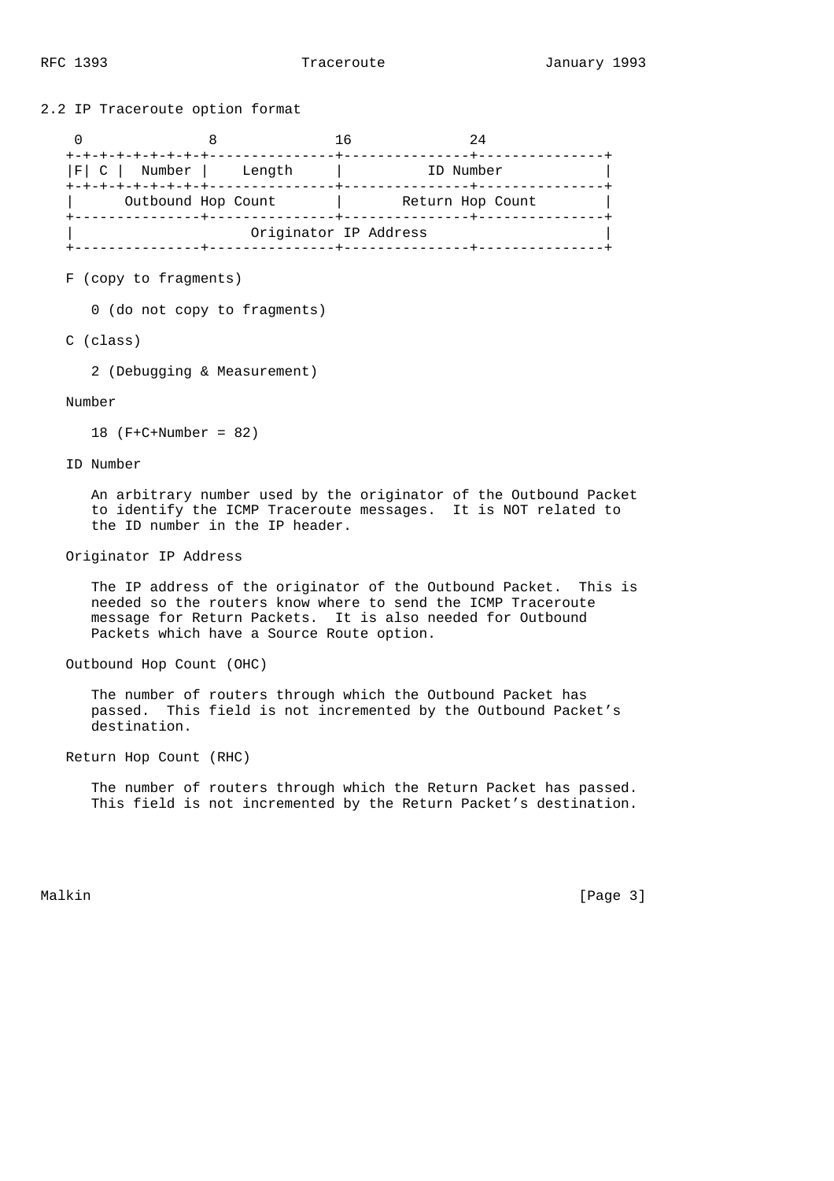| $\Omega$                 | 8                          |                                           | 16 | 24                                                                                                                                                                                             |  |
|--------------------------|----------------------------|-------------------------------------------|----|------------------------------------------------------------------------------------------------------------------------------------------------------------------------------------------------|--|
|                          |                            | $ F $ C   Number   Length                 |    | ID Number                                                                                                                                                                                      |  |
|                          |                            |                                           |    |                                                                                                                                                                                                |  |
|                          |                            | Originator IP Address                     |    |                                                                                                                                                                                                |  |
| F (copy to fragments)    |                            |                                           |    |                                                                                                                                                                                                |  |
|                          |                            | 0 (do not copy to fragments)              |    |                                                                                                                                                                                                |  |
| C (class)                |                            |                                           |    |                                                                                                                                                                                                |  |
|                          |                            | 2 (Debugging & Measurement)               |    |                                                                                                                                                                                                |  |
| Number                   |                            |                                           |    |                                                                                                                                                                                                |  |
|                          | 18 $(F + C + Number = 82)$ |                                           |    |                                                                                                                                                                                                |  |
| ID Number                |                            |                                           |    |                                                                                                                                                                                                |  |
|                          |                            |                                           |    |                                                                                                                                                                                                |  |
|                          |                            | the ID number in the IP header.           |    | An arbitrary number used by the originator of the Outbound Packet<br>to identify the ICMP Traceroute messages. It is NOT related to                                                            |  |
| Originator IP Address    |                            |                                           |    |                                                                                                                                                                                                |  |
|                          |                            |                                           |    |                                                                                                                                                                                                |  |
|                          |                            | Packets which have a Source Route option. |    | The IP address of the originator of the Outbound Packet. This is<br>needed so the routers know where to send the ICMP Traceroute<br>message for Return Packets. It is also needed for Outbound |  |
| Outbound Hop Count (OHC) |                            |                                           |    |                                                                                                                                                                                                |  |
|                          | destination.               |                                           |    | The number of routers through which the Outbound Packet has<br>passed. This field is not incremented by the Outbound Packet's                                                                  |  |
| Return Hop Count (RHC)   |                            |                                           |    |                                                                                                                                                                                                |  |
|                          |                            |                                           |    | The number of routers through which the Return Packet has passed.<br>This field is not incremented by the Return Packet's destination.                                                         |  |
|                          |                            |                                           |    |                                                                                                                                                                                                |  |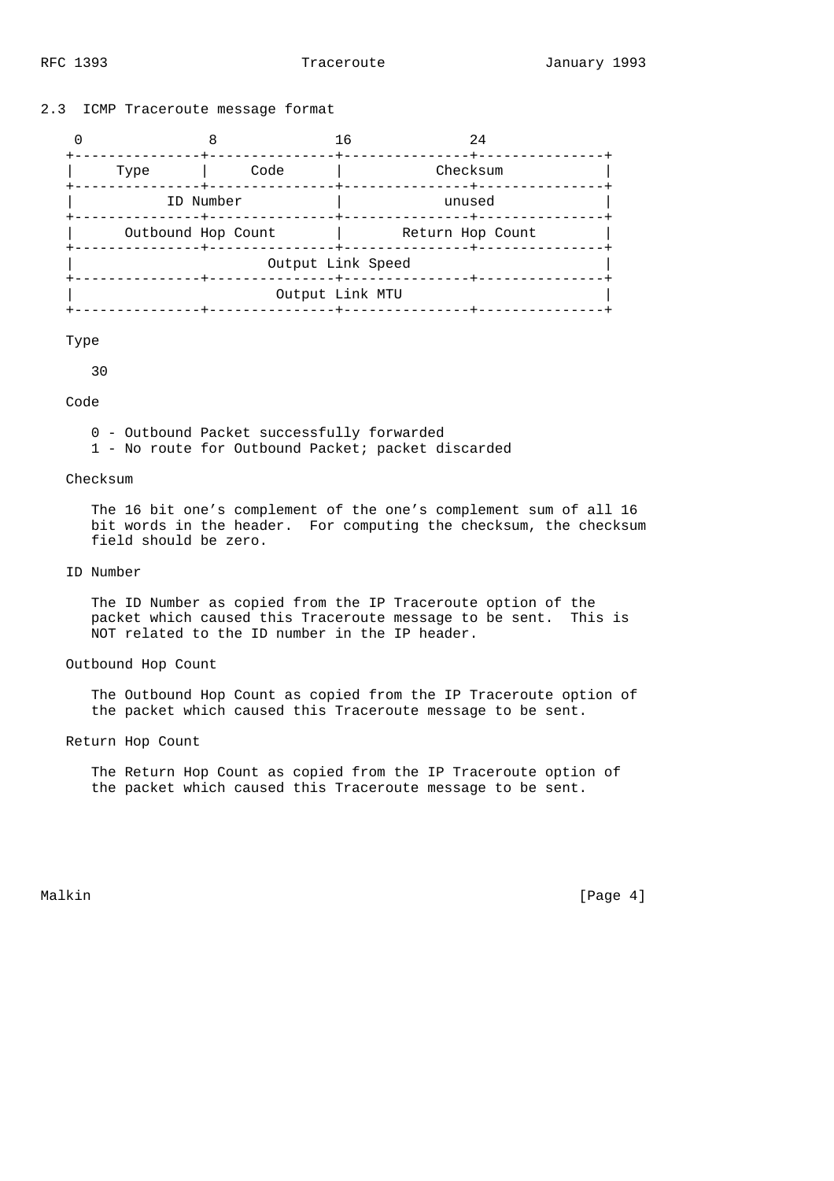## 2.3 ICMP Traceroute message format

|                    |                          | 24<br>16                  |  |  |  |  |
|--------------------|--------------------------|---------------------------|--|--|--|--|
| Type               | Code                     | Checksum<br>-------+----- |  |  |  |  |
|                    | ID Number<br>----+------ | unused                    |  |  |  |  |
| Outbound Hop Count |                          | Return Hop Count          |  |  |  |  |
| Output Link Speed  |                          |                           |  |  |  |  |
| Output Link MTU    |                          |                           |  |  |  |  |
|                    |                          |                           |  |  |  |  |

### Type

30

## Code

0 - Outbound Packet successfully forwarded

1 - No route for Outbound Packet; packet discarded

### Checksum

 The 16 bit one's complement of the one's complement sum of all 16 bit words in the header. For computing the checksum, the checksum field should be zero.

# ID Number

 The ID Number as copied from the IP Traceroute option of the packet which caused this Traceroute message to be sent. This is NOT related to the ID number in the IP header.

#### Outbound Hop Count

 The Outbound Hop Count as copied from the IP Traceroute option of the packet which caused this Traceroute message to be sent.

## Return Hop Count

 The Return Hop Count as copied from the IP Traceroute option of the packet which caused this Traceroute message to be sent.

Malkin [Page 4]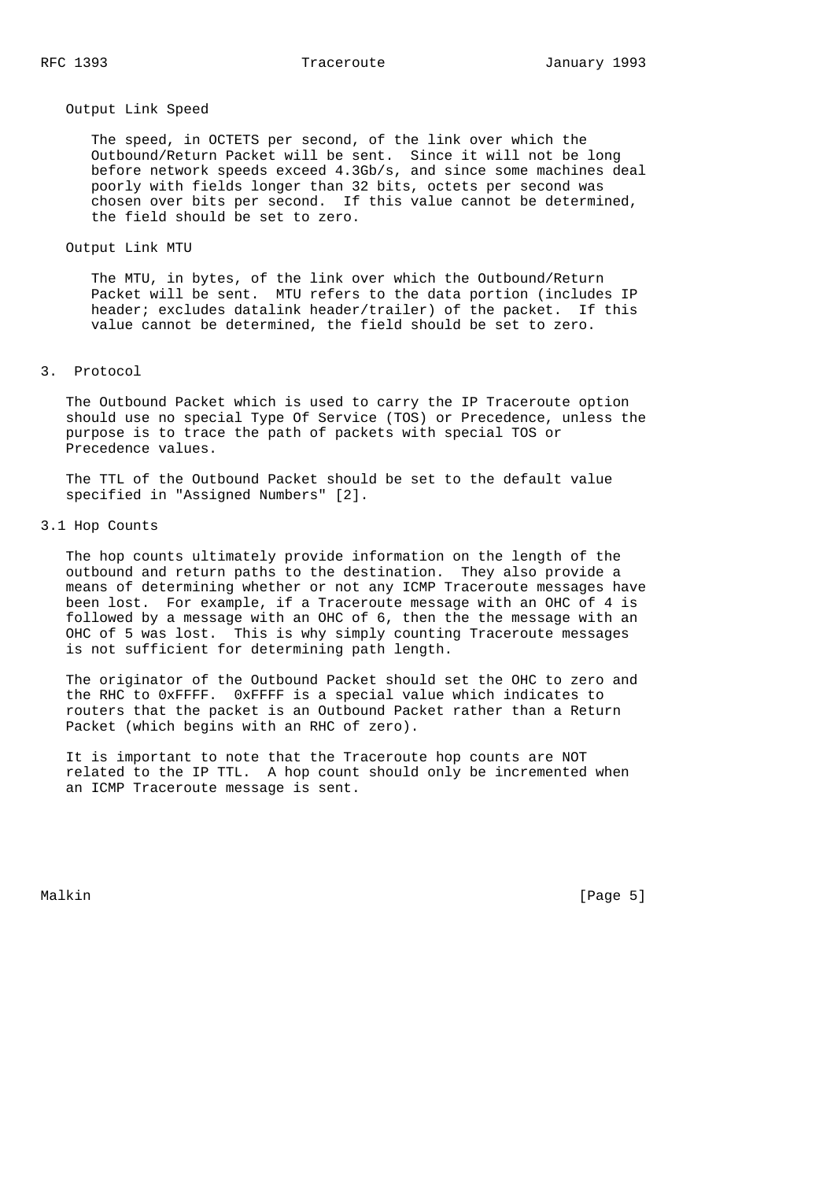#### Output Link Speed

 The speed, in OCTETS per second, of the link over which the Outbound/Return Packet will be sent. Since it will not be long before network speeds exceed 4.3Gb/s, and since some machines deal poorly with fields longer than 32 bits, octets per second was chosen over bits per second. If this value cannot be determined, the field should be set to zero.

### Output Link MTU

 The MTU, in bytes, of the link over which the Outbound/Return Packet will be sent. MTU refers to the data portion (includes IP header; excludes datalink header/trailer) of the packet. If this value cannot be determined, the field should be set to zero.

### 3. Protocol

 The Outbound Packet which is used to carry the IP Traceroute option should use no special Type Of Service (TOS) or Precedence, unless the purpose is to trace the path of packets with special TOS or Precedence values.

 The TTL of the Outbound Packet should be set to the default value specified in "Assigned Numbers" [2].

### 3.1 Hop Counts

 The hop counts ultimately provide information on the length of the outbound and return paths to the destination. They also provide a means of determining whether or not any ICMP Traceroute messages have been lost. For example, if a Traceroute message with an OHC of 4 is followed by a message with an OHC of 6, then the the message with an OHC of 5 was lost. This is why simply counting Traceroute messages is not sufficient for determining path length.

 The originator of the Outbound Packet should set the OHC to zero and the RHC to 0xFFFF. 0xFFFF is a special value which indicates to routers that the packet is an Outbound Packet rather than a Return Packet (which begins with an RHC of zero).

 It is important to note that the Traceroute hop counts are NOT related to the IP TTL. A hop count should only be incremented when an ICMP Traceroute message is sent.

Malkin [Page 5]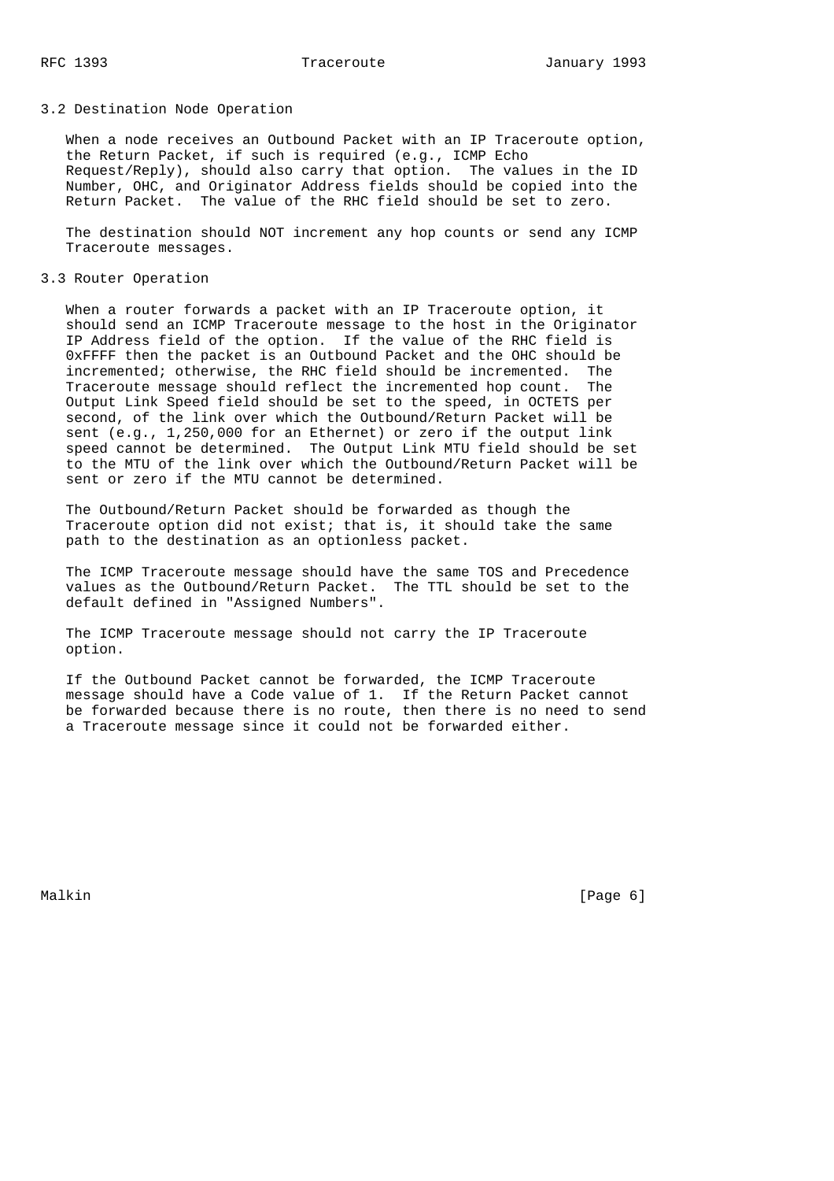### 3.2 Destination Node Operation

 When a node receives an Outbound Packet with an IP Traceroute option, the Return Packet, if such is required (e.g., ICMP Echo Request/Reply), should also carry that option. The values in the ID Number, OHC, and Originator Address fields should be copied into the Return Packet. The value of the RHC field should be set to zero.

 The destination should NOT increment any hop counts or send any ICMP Traceroute messages.

3.3 Router Operation

 When a router forwards a packet with an IP Traceroute option, it should send an ICMP Traceroute message to the host in the Originator IP Address field of the option. If the value of the RHC field is 0xFFFF then the packet is an Outbound Packet and the OHC should be incremented; otherwise, the RHC field should be incremented. The Traceroute message should reflect the incremented hop count. The Output Link Speed field should be set to the speed, in OCTETS per second, of the link over which the Outbound/Return Packet will be sent (e.g., 1,250,000 for an Ethernet) or zero if the output link speed cannot be determined. The Output Link MTU field should be set to the MTU of the link over which the Outbound/Return Packet will be sent or zero if the MTU cannot be determined.

 The Outbound/Return Packet should be forwarded as though the Traceroute option did not exist; that is, it should take the same path to the destination as an optionless packet.

 The ICMP Traceroute message should have the same TOS and Precedence values as the Outbound/Return Packet. The TTL should be set to the default defined in "Assigned Numbers".

 The ICMP Traceroute message should not carry the IP Traceroute option.

 If the Outbound Packet cannot be forwarded, the ICMP Traceroute message should have a Code value of 1. If the Return Packet cannot be forwarded because there is no route, then there is no need to send a Traceroute message since it could not be forwarded either.

Malkin [Page 6]